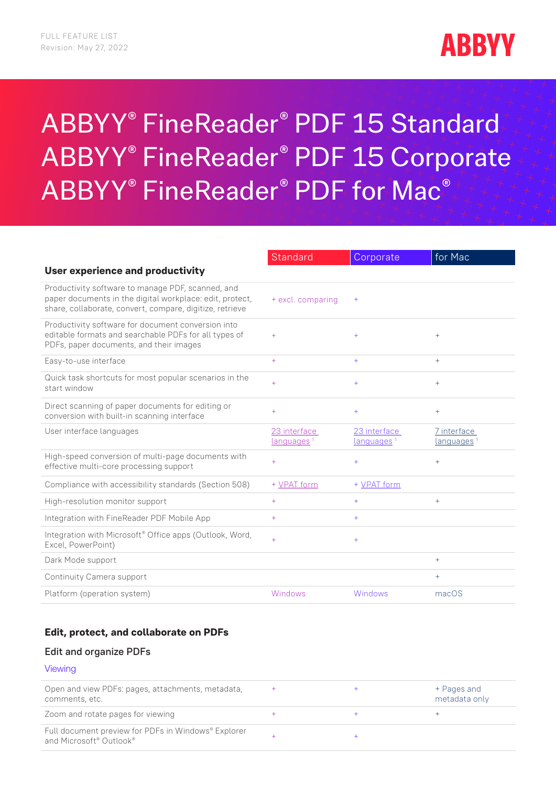

# ABBYY® FineReader® PDF 15 Standard ABBYY® FineReader® PDF 15 Corporate ABBYY® FineReader® PDF for Mac®

|                                                                                                                                                                           | Standard               | Corporate              | for Mac                |
|---------------------------------------------------------------------------------------------------------------------------------------------------------------------------|------------------------|------------------------|------------------------|
| User experience and productivity                                                                                                                                          |                        |                        |                        |
| Productivity software to manage PDF, scanned, and<br>paper documents in the digital workplace: edit, protect,<br>share, collaborate, convert, compare, digitize, retrieve | + excl. comparing      | $^{+}$                 |                        |
| Productivity software for document conversion into<br>editable formats and searchable PDFs for all types of<br>PDFs, paper documents, and their images                    | $+$                    | $+$                    | $+$                    |
| Easy-to-use interface                                                                                                                                                     | $+$                    | $+$                    | $+$                    |
| Quick task shortcuts for most popular scenarios in the<br>start window                                                                                                    | $+$                    | $+$                    | $+$                    |
| Direct scanning of paper documents for editing or<br>conversion with built-in scanning interface                                                                          | $+$                    | $+$                    | $+$                    |
| User interface languages                                                                                                                                                  | 23 interface           | 23 interface           | 7 interface            |
|                                                                                                                                                                           | languages <sup>1</sup> | languages <sup>1</sup> | languages <sup>1</sup> |
| High-speed conversion of multi-page documents with<br>effective multi-core processing support                                                                             | $+$                    | $+$                    | $+$                    |
| Compliance with accessibility standards (Section 508)                                                                                                                     | + VPAT form            | + VPAT form            |                        |
| High-resolution monitor support                                                                                                                                           | $+$                    | $+$                    | $+$                    |
| Integration with FineReader PDF Mobile App                                                                                                                                | $+$                    | $+$                    |                        |
| Integration with Microsoft <sup>®</sup> Office apps (Outlook, Word,<br>Excel, PowerPoint)                                                                                 | $+$                    | $+$                    |                        |
| Dark Mode support                                                                                                                                                         |                        |                        | $+$                    |
| Continuity Camera support                                                                                                                                                 |                        |                        | $+$                    |

### **Edit, protect, and collaborate on PDFs**

#### Edit and organize PDFs

### Viewing

| Open and view PDFs: pages, attachments, metadata,<br>comments, etc.            |  | + Pages and<br>metadata only |
|--------------------------------------------------------------------------------|--|------------------------------|
| Zoom and rotate pages for viewing                                              |  |                              |
| Full document preview for PDFs in Windows® Explorer<br>and Microsoft® Outlook® |  |                              |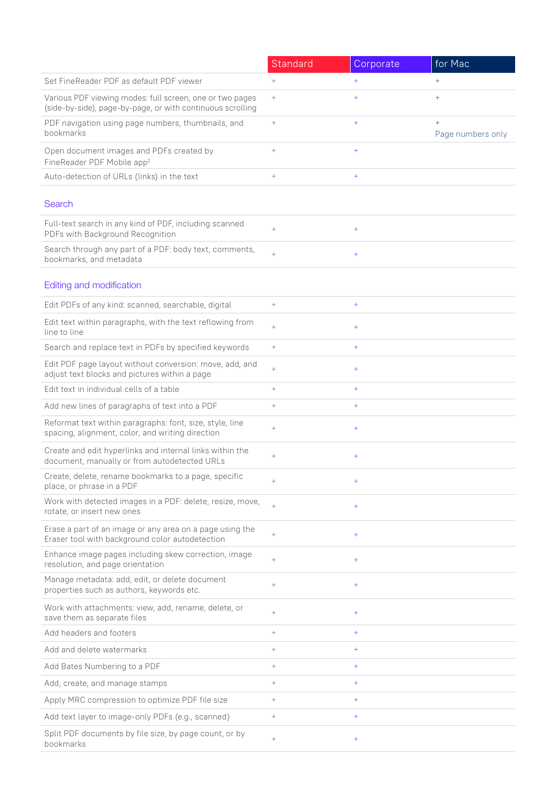|                                                                                                                        | Standard         | Corporate                         | for Mac                     |
|------------------------------------------------------------------------------------------------------------------------|------------------|-----------------------------------|-----------------------------|
| Set FineReader PDF as default PDF viewer                                                                               | $+$              | $+$                               | $+$                         |
| Various PDF viewing modes: full screen, one or two pages<br>(side-by-side), page-by-page, or with continuous scrolling | $+$              | $+$                               | $+$                         |
| PDF navigation using page numbers, thumbnails, and<br>bookmarks                                                        | $\color{red}{+}$ | $\hspace{1.0cm} + \hspace{1.0cm}$ | $^{+}$<br>Page numbers only |
| Open document images and PDFs created by<br>FineReader PDF Mobile app <sup>2</sup>                                     | $^{+}$           | $\ddot{}$                         |                             |
| Auto-detection of URLs (links) in the text                                                                             | $+$              | $\ddot{}$                         |                             |
| Search                                                                                                                 |                  |                                   |                             |
| Full-text search in any kind of PDF, including scanned<br>PDFs with Background Recognition                             | $+$              | $+$                               |                             |
| Search through any part of a PDF: body text, comments,<br>bookmarks, and metadata                                      | $+$              | $\ddot{}$                         |                             |
| Editing and modification                                                                                               |                  |                                   |                             |
| Edit PDFs of any kind: scanned, searchable, digital                                                                    | $+$              | $+$                               |                             |
| Edit text within paragraphs, with the text reflowing from<br>line to line                                              | $+$              | $\ddot{}$                         |                             |
| Search and replace text in PDFs by specified keywords                                                                  | $+$              | $+$                               |                             |
| Edit PDF page layout without conversion: move, add, and<br>adjust text blocks and pictures within a page               | $+$              | $\ddot{}$                         |                             |
| Edit text in individual cells of a table                                                                               | $+$              | $+$                               |                             |
| Add new lines of paragraphs of text into a PDF                                                                         | $+$              | $+$                               |                             |
| Reformat text within paragraphs: font, size, style, line<br>spacing, alignment, color, and writing direction           | $+$              | $+$                               |                             |
| Create and edit hyperlinks and internal links within the<br>document, manually or from autodetected URLs               | $+$              | $\ddot{}$                         |                             |
| Create, delete, rename bookmarks to a page, specific<br>place, or phrase in a PDF                                      | $+$              | $+$                               |                             |
| Work with detected images in a PDF: delete, resize, move,<br>rotate, or insert new ones                                | $+$              | $+$                               |                             |
| Erase a part of an image or any area on a page using the<br>Eraser tool with background color autodetection            | $+$              | $+$                               |                             |
| Enhance image pages including skew correction, image<br>resolution, and page orientation                               | $+$              | $+$                               |                             |
| Manage metadata: add, edit, or delete document<br>properties such as authors, keywords etc.                            | $+$              | $+$                               |                             |
| Work with attachments: view, add, rename, delete, or<br>save them as separate files                                    | $+$              | $+$                               |                             |
| Add headers and footers                                                                                                | $+$              | $+$                               |                             |
| Add and delete watermarks                                                                                              | $+$              | $+$                               |                             |
| Add Bates Numbering to a PDF                                                                                           | $+$              | $+$                               |                             |
| Add, create, and manage stamps                                                                                         | $+$              | $+$                               |                             |
| Apply MRC compression to optimize PDF file size                                                                        | $+$              | $+$                               |                             |
| Add text layer to image-only PDFs (e.g., scanned)                                                                      | $+$              | $+$                               |                             |
| Split PDF documents by file size, by page count, or by<br>bookmarks                                                    | $+$              | $+$                               |                             |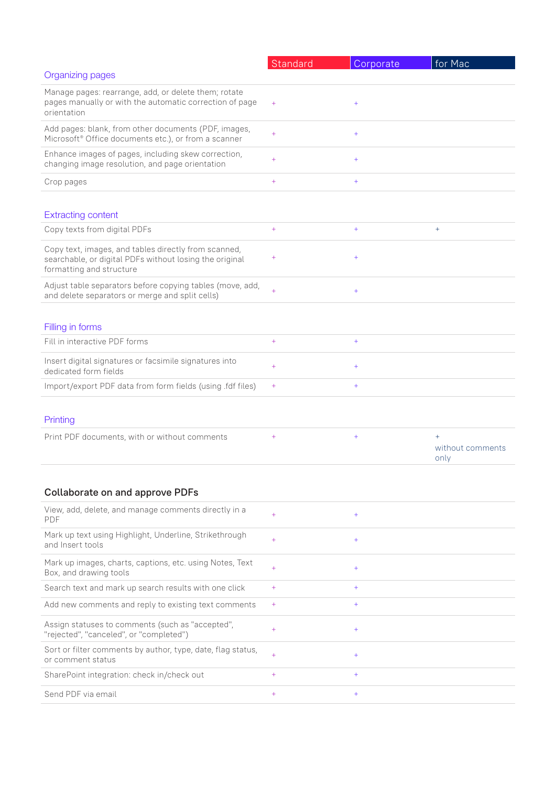|                                                                                                                                             | Standard   | Corporate | for Mac                         |
|---------------------------------------------------------------------------------------------------------------------------------------------|------------|-----------|---------------------------------|
| Organizing pages                                                                                                                            |            |           |                                 |
| Manage pages: rearrange, add, or delete them; rotate<br>pages manually or with the automatic correction of page<br>orientation              | $^{+}$     | $^{+}$    |                                 |
| Add pages: blank, from other documents (PDF, images,<br>Microsoft <sup>®</sup> Office documents etc.), or from a scanner                    | $+$        | $\ddot{}$ |                                 |
| Enhance images of pages, including skew correction,<br>changing image resolution, and page orientation                                      | $+$        | $\ddot{}$ |                                 |
| Crop pages                                                                                                                                  | $^{+}$     | $\ddot{}$ |                                 |
| <b>Extracting content</b>                                                                                                                   |            |           |                                 |
| Copy texts from digital PDFs                                                                                                                | $^{+}$     | $+$       | $+$                             |
| Copy text, images, and tables directly from scanned,<br>searchable, or digital PDFs without losing the original<br>formatting and structure | $^{+}$     | $^{+}$    |                                 |
| Adjust table separators before copying tables (move, add,<br>and delete separators or merge and split cells)                                | $\ddot{+}$ | $^{+}$    |                                 |
| Filling in forms                                                                                                                            |            |           |                                 |
| Fill in interactive PDF forms                                                                                                               | $^{+}$     | $+$       |                                 |
| Insert digital signatures or facsimile signatures into<br>dedicated form fields                                                             | $+$        | $\ddot{}$ |                                 |
| Import/export PDF data from form fields (using .fdf files)                                                                                  | $^{+}$     | $^{+}$    |                                 |
| Printing                                                                                                                                    |            |           |                                 |
| Print PDF documents, with or without comments                                                                                               | $^{+}$     | $^{+}$    | $+$<br>without comments<br>only |
| <b>Collaborate on and approve PDFs</b>                                                                                                      |            |           |                                 |
| View, add, delete, and manage comments directly in a<br><b>PDF</b>                                                                          | $+$        | $+$       |                                 |
| Mark up text using Highlight, Underline, Strikethrough<br>and Insert tools                                                                  | $+$        | $+$       |                                 |
| Mark up images, charts, captions, etc. using Notes, Text<br>Box, and drawing tools                                                          | $+$        | $+$       |                                 |
| Search text and mark up search results with one click                                                                                       | $+$        | $^{+}$    |                                 |
| Add new comments and reply to existing text comments                                                                                        | $^{+}$     | $^{+}$    |                                 |
| Assign statuses to comments (such as "accepted",<br>"rejected", "canceled", or "completed")                                                 | $+$        | $+$       |                                 |
| Sort or filter comments by author, type, date, flag status,<br>or comment status                                                            | $+$        | $+$       |                                 |
| SharePoint integration: check in/check out                                                                                                  | $+$        | $^{+}$    |                                 |
| Send PDF via email                                                                                                                          | $^{+}$     | $+$       |                                 |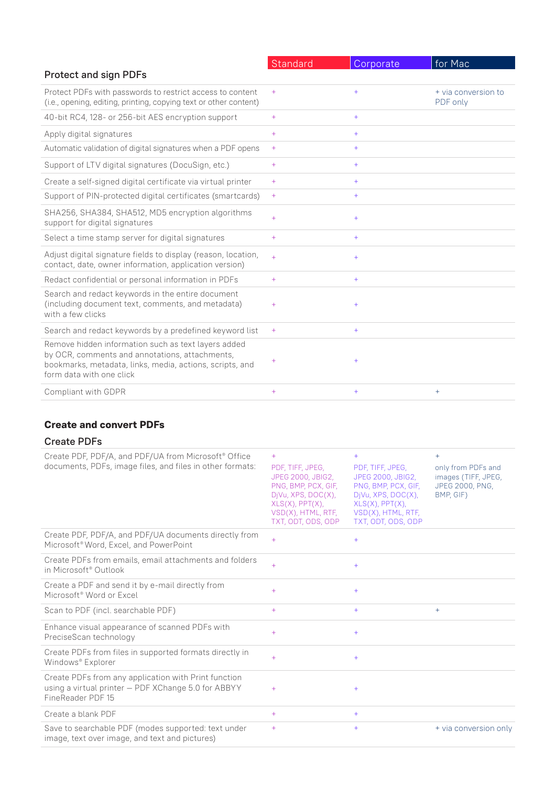|                                                                                                                                                                                               | Standard  | Corporate | for Mac                         |
|-----------------------------------------------------------------------------------------------------------------------------------------------------------------------------------------------|-----------|-----------|---------------------------------|
| <b>Protect and sign PDFs</b>                                                                                                                                                                  |           |           |                                 |
| Protect PDFs with passwords to restrict access to content<br>(i.e., opening, editing, printing, copying text or other content)                                                                | $^{+}$    | $+$       | + via conversion to<br>PDF only |
| 40-bit RC4, 128- or 256-bit AES encryption support                                                                                                                                            | $^{+}$    | $+$       |                                 |
| Apply digital signatures                                                                                                                                                                      | $+$       | $+$       |                                 |
| Automatic validation of digital signatures when a PDF opens                                                                                                                                   | $+$       | $+$       |                                 |
| Support of LTV digital signatures (DocuSign, etc.)                                                                                                                                            | $^{+}$    | $+$       |                                 |
| Create a self-signed digital certificate via virtual printer                                                                                                                                  | $^{+}$    | $+$       |                                 |
| Support of PIN-protected digital certificates (smartcards)                                                                                                                                    | $^{+}$    | $+$       |                                 |
| SHA256, SHA384, SHA512, MD5 encryption algorithms<br>support for digital signatures                                                                                                           | $+$       | $+$       |                                 |
| Select a time stamp server for digital signatures                                                                                                                                             | $+$       | $+$       |                                 |
| Adjust digital signature fields to display (reason, location,<br>contact, date, owner information, application version)                                                                       | $\ddot{}$ | $+$       |                                 |
| Redact confidential or personal information in PDFs                                                                                                                                           | $^{+}$    | $+$       |                                 |
| Search and redact keywords in the entire document<br>(including document text, comments, and metadata)<br>with a few clicks                                                                   | $^{+}$    | $^{+}$    |                                 |
| Search and redact keywords by a predefined keyword list                                                                                                                                       | $^{+}$    | $^{+}$    |                                 |
| Remove hidden information such as text layers added<br>by OCR, comments and annotations, attachments,<br>bookmarks, metadata, links, media, actions, scripts, and<br>form data with one click | $\ddot{}$ | $^{+}$    |                                 |
| Compliant with GDPR                                                                                                                                                                           | $+$       | $+$       | $+$                             |

# **Create and convert PDFs**

| <b>Create PDFs</b> |  |
|--------------------|--|
|--------------------|--|

| Create PDF, PDF/A, and PDF/UA from Microsoft <sup>®</sup> Office<br>documents, PDFs, image files, and files in other formats:    | $+$<br>PDF, TIFF, JPEG,<br><b>JPEG 2000, JBIG2,</b><br>PNG, BMP, PCX, GIF,<br>DjVu, XPS, DOC(X),<br>$XLS(X)$ , $PPT(X)$ ,<br>VSD(X), HTML, RTF,<br>TXT, ODT, ODS, ODP | $+$<br>PDF, TIFF, JPEG,<br><b>JPEG 2000, JBIG2,</b><br>PNG, BMP, PCX, GIF,<br>DjVu, XPS, DOC(X),<br>$XLS(X)$ , PPT $(X)$ ,<br>VSD(X), HTML, RTF,<br>TXT, ODT, ODS, ODP | $+$<br>only from PDFs and<br>images (TIFF, JPEG,<br>JPEG 2000, PNG,<br>BMP, GIF) |
|----------------------------------------------------------------------------------------------------------------------------------|-----------------------------------------------------------------------------------------------------------------------------------------------------------------------|------------------------------------------------------------------------------------------------------------------------------------------------------------------------|----------------------------------------------------------------------------------|
| Create PDF, PDF/A, and PDF/UA documents directly from<br>Microsoft <sup>®</sup> Word, Excel, and PowerPoint                      | $+$                                                                                                                                                                   | $+$                                                                                                                                                                    |                                                                                  |
| Create PDFs from emails, email attachments and folders<br>in Microsoft <sup>®</sup> Outlook                                      | $+$                                                                                                                                                                   | $+$                                                                                                                                                                    |                                                                                  |
| Create a PDF and send it by e-mail directly from<br>Microsoft <sup>®</sup> Word or Excel                                         | $+$                                                                                                                                                                   | $+$                                                                                                                                                                    |                                                                                  |
| Scan to PDF (incl. searchable PDF)                                                                                               | $+$                                                                                                                                                                   | $+$                                                                                                                                                                    | $+$                                                                              |
| Enhance visual appearance of scanned PDFs with<br>PreciseScan technology                                                         | $+$                                                                                                                                                                   | $+$                                                                                                                                                                    |                                                                                  |
| Create PDFs from files in supported formats directly in<br>Windows® Explorer                                                     | $+$                                                                                                                                                                   | $+$                                                                                                                                                                    |                                                                                  |
| Create PDFs from any application with Print function<br>using a virtual printer - PDF XChange 5.0 for ABBYY<br>FineReader PDF 15 | $+$                                                                                                                                                                   | $^{+}$                                                                                                                                                                 |                                                                                  |
| Create a blank PDF                                                                                                               | $+$                                                                                                                                                                   | $+$                                                                                                                                                                    |                                                                                  |
| Save to searchable PDF (modes supported: text under<br>image, text over image, and text and pictures)                            | $+$                                                                                                                                                                   | $+$                                                                                                                                                                    | + via conversion only                                                            |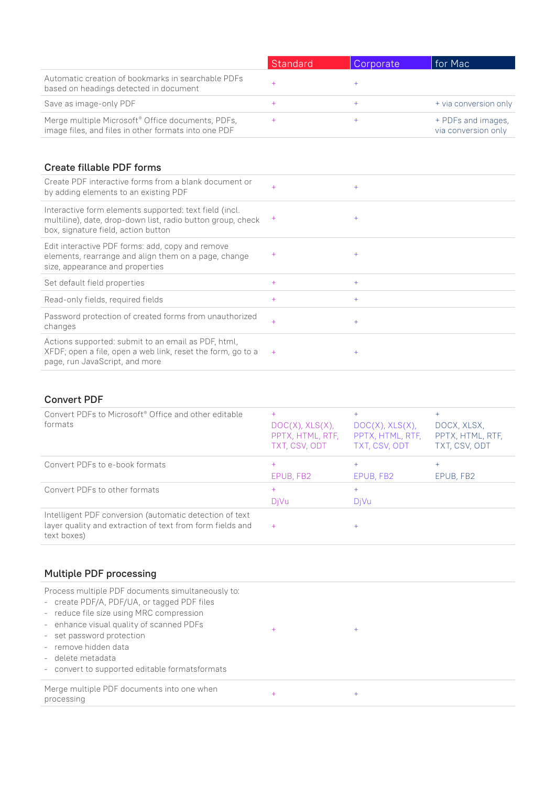|                                                                                                                       | Standard | Corporate | ∣ for Mac                                 |
|-----------------------------------------------------------------------------------------------------------------------|----------|-----------|-------------------------------------------|
| Automatic creation of bookmarks in searchable PDFs<br>based on headings detected in document                          |          |           |                                           |
| Save as image-only PDF                                                                                                | ÷        |           | + via conversion only                     |
| Merge multiple Microsoft <sup>®</sup> Office documents, PDFs,<br>image files, and files in other formats into one PDF |          |           | + PDFs and images,<br>via conversion only |

# Create fillable PDF forms

| Create PDF interactive forms from a blank document or<br>by adding elements to an existing PDF                                                               | $+$    | $^{+}$ |
|--------------------------------------------------------------------------------------------------------------------------------------------------------------|--------|--------|
| Interactive form elements supported: text field (incl.<br>multiline), date, drop-down list, radio button group, check<br>box, signature field, action button | $^{+}$ | $+$    |
| Edit interactive PDF forms: add, copy and remove<br>elements, rearrange and align them on a page, change<br>size, appearance and properties                  | $^{+}$ | $+$    |
| Set default field properties                                                                                                                                 | $+$    | $+$    |
| Read-only fields, required fields                                                                                                                            | $+$    | $+$    |
| Password protection of created forms from unauthorized<br>changes                                                                                            | $+$    | $^{+}$ |
| Actions supported: submit to an email as PDF, html,<br>XFDF; open a file, open a web link, reset the form, go to a<br>page, run JavaScript, and more         | $+$    | $^{+}$ |

## Convert PDF

| Convert PDFs to Microsoft <sup>®</sup> Office and other editable<br>formats                                                         | $+$<br>DOC(X), XLS(X),<br>PPTX, HTML, RTF,<br>TXT, CSV, ODT | DOC(X), XLS(X),<br>PPTX, HTML, RTF,<br>TXT, CSV, ODT | $+$<br>DOCX, XLSX,<br>PPTX, HTML, RTF,<br>TXT, CSV, ODT |
|-------------------------------------------------------------------------------------------------------------------------------------|-------------------------------------------------------------|------------------------------------------------------|---------------------------------------------------------|
| Convert PDFs to e-book formats                                                                                                      | $+$<br>EPUB, FB2                                            | $^{+}$<br>EPUB, FB2                                  | $+$<br>EPUB, FB2                                        |
| Convert PDFs to other formats                                                                                                       | $+$<br>DiVu                                                 | $+$<br>DiVu                                          |                                                         |
| Intelligent PDF conversion (automatic detection of text<br>layer quality and extraction of text from form fields and<br>text boxes) | $+$                                                         | $^{+}$                                               |                                                         |

# Multiple PDF processing

| Process multiple PDF documents simultaneously to:<br>- create PDF/A, PDF/UA, or tagged PDF files<br>- reduce file size using MRC compression<br>- enhance visual quality of scanned PDFs<br>- set password protection<br>- remove hidden data<br>- delete metadata<br>- convert to supported editable formatsformats | $^{+}$    | $+$       |
|----------------------------------------------------------------------------------------------------------------------------------------------------------------------------------------------------------------------------------------------------------------------------------------------------------------------|-----------|-----------|
| Merge multiple PDF documents into one when<br>processing                                                                                                                                                                                                                                                             | $\ddot{}$ | $\ddot{}$ |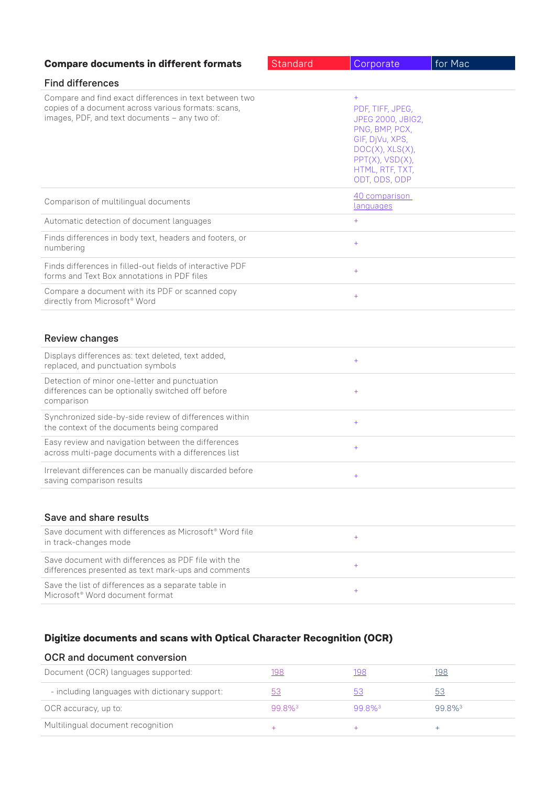| <b>Compare documents in different formats</b>                                                                                                                  | Standard | Corporate                                                                                                                                                         | for Mac |
|----------------------------------------------------------------------------------------------------------------------------------------------------------------|----------|-------------------------------------------------------------------------------------------------------------------------------------------------------------------|---------|
| <b>Find differences</b>                                                                                                                                        |          |                                                                                                                                                                   |         |
| Compare and find exact differences in text between two<br>copies of a document across various formats: scans,<br>images, PDF, and text documents - any two of: |          | $+$<br>PDF, TIFF, JPEG,<br>JPEG 2000, JBIG2,<br>PNG, BMP, PCX,<br>GIF, DjVu, XPS,<br>DOC(X), XLS(X),<br>$PPT(X)$ , $VSD(X)$ ,<br>HTML, RTF, TXT,<br>ODT, ODS, ODP |         |
| Comparison of multilingual documents                                                                                                                           |          | 40 comparison<br>languages                                                                                                                                        |         |
| Automatic detection of document languages                                                                                                                      |          | $+$                                                                                                                                                               |         |
| Finds differences in body text, headers and footers, or<br>numbering                                                                                           |          | $+$                                                                                                                                                               |         |
| Finds differences in filled-out fields of interactive PDF<br>forms and Text Box annotations in PDF files                                                       |          | $+$                                                                                                                                                               |         |
| Compare a document with its PDF or scanned copy<br>directly from Microsoft <sup>®</sup> Word                                                                   |          | $+$                                                                                                                                                               |         |
| <b>Review changes</b>                                                                                                                                          |          |                                                                                                                                                                   |         |
| Displays differences as: text deleted, text added,<br>replaced, and punctuation symbols                                                                        |          | $+$                                                                                                                                                               |         |
| Detection of minor one-letter and punctuation<br>differences can be optionally switched off before<br>comparison                                               |          | $\hspace{1.0cm} + \hspace{1.0cm}$                                                                                                                                 |         |
| Synchronized side-by-side review of differences within<br>the context of the documents being compared                                                          |          | $+$                                                                                                                                                               |         |
| Easy review and navigation between the differences<br>across multi-page documents with a differences list                                                      |          | $\hspace{1.0cm} + \hspace{1.0cm}$                                                                                                                                 |         |
| Irrelevant differences can be manually discarded before<br>saving comparison results                                                                           |          |                                                                                                                                                                   |         |
| Save and share results                                                                                                                                         |          |                                                                                                                                                                   |         |
| Save document with differences as Microsoft <sup>®</sup> Word file<br>in track-changes mode                                                                    |          | $+$                                                                                                                                                               |         |
| Save document with differences as PDF file with the<br>differences presented as text mark-ups and comments                                                     |          | $+$                                                                                                                                                               |         |
| Save the list of differences as a separate table in<br>Microsoft <sup>®</sup> Word document format                                                             |          | $^{+}$                                                                                                                                                            |         |

# **Digitize documents and scans with Optical Character Recognition (OCR)**

# OCR and document conversion

| Document (OCR) languages supported:            |                      | 198                   |                      |
|------------------------------------------------|----------------------|-----------------------|----------------------|
| - including languages with dictionary support: |                      |                       |                      |
| OCR accuracy, up to:                           | $998\%$ <sup>3</sup> | $99.8\%$ <sup>3</sup> | $998\%$ <sup>3</sup> |
| Multilingual document recognition              |                      |                       |                      |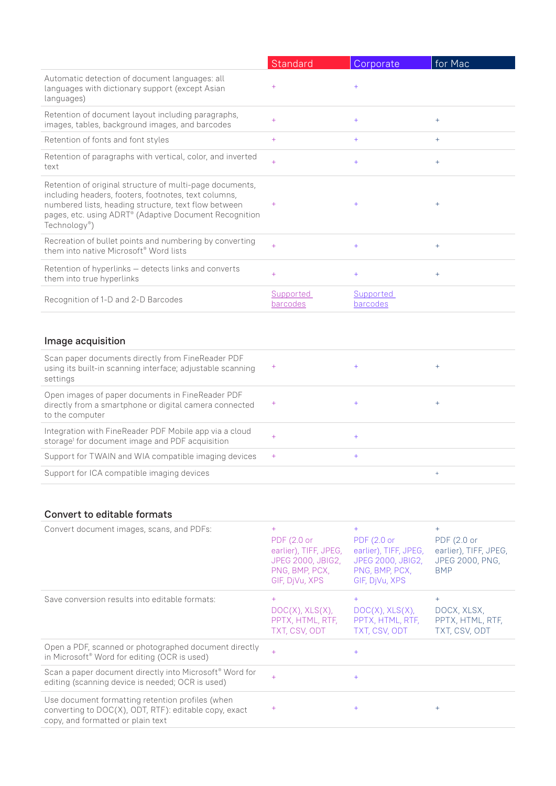|                                                                                                                                                                                                                                                                             | Standard              | Corporate             | for Mac |
|-----------------------------------------------------------------------------------------------------------------------------------------------------------------------------------------------------------------------------------------------------------------------------|-----------------------|-----------------------|---------|
| Automatic detection of document languages: all<br>languages with dictionary support (except Asian<br>languages)                                                                                                                                                             | $^{+}$                | $+$                   |         |
| Retention of document layout including paragraphs,<br>images, tables, background images, and barcodes                                                                                                                                                                       | $+$                   | $+$                   | $^{+}$  |
| Retention of fonts and font styles                                                                                                                                                                                                                                          | $^{+}$                | $+$                   | $+$     |
| Retention of paragraphs with vertical, color, and inverted<br>text                                                                                                                                                                                                          | $^{+}$                | $+$                   | $^{+}$  |
| Retention of original structure of multi-page documents,<br>including headers, footers, footnotes, text columns,<br>numbered lists, heading structure, text flow between<br>pages, etc. using ADRT <sup>®</sup> (Adaptive Document Recognition<br>Technology <sup>®</sup> ) | $^{+}$                | $^{+}$                | $^{+}$  |
| Recreation of bullet points and numbering by converting<br>them into native Microsoft <sup>®</sup> Word lists                                                                                                                                                               | $+$                   | $+$                   | $^{+}$  |
| Retention of hyperlinks – detects links and converts<br>them into true hyperlinks                                                                                                                                                                                           | $+$                   | $+$                   | $^{+}$  |
| Recognition of 1-D and 2-D Barcodes                                                                                                                                                                                                                                         | Supported<br>barcodes | Supported<br>barcodes |         |
|                                                                                                                                                                                                                                                                             |                       |                       |         |

# Image acquisition

| Scan paper documents directly from FineReader PDF<br>using its built-in scanning interface; adjustable scanning<br>settings   | $\pm$     |                |
|-------------------------------------------------------------------------------------------------------------------------------|-----------|----------------|
| Open images of paper documents in FineReader PDF<br>directly from a smartphone or digital camera connected<br>to the computer | $\pm$     |                |
| Integration with FineReader PDF Mobile app via a cloud<br>storage <sup>1</sup> for document image and PDF acquisition         | $\ddot{}$ |                |
| Support for TWAIN and WIA compatible imaging devices                                                                          | $+$       |                |
| Support for ICA compatible imaging devices                                                                                    |           | $\overline{+}$ |

# Convert to editable formats

| Convert document images, scans, and PDFs:                                                                                                      | $^{+}$<br>PDF (2.0 or<br>earlier), TIFF, JPEG,<br><b>JPEG 2000, JBIG2,</b><br>PNG, BMP, PCX,<br>GIF, DiVu, XPS | $+$<br>PDF (2.0 or<br>earlier), TIFF, JPEG,<br><b>JPEG 2000, JBIG2,</b><br>PNG, BMP, PCX,<br>GIF, DjVu, XPS | $+$<br>PDF (2.0 or<br>earlier), TIFF, JPEG,<br>JPEG 2000, PNG,<br><b>BMP</b> |
|------------------------------------------------------------------------------------------------------------------------------------------------|----------------------------------------------------------------------------------------------------------------|-------------------------------------------------------------------------------------------------------------|------------------------------------------------------------------------------|
| Save conversion results into editable formats:                                                                                                 | $+$<br>DOC(X), XLS(X),<br>PPTX, HTML, RTF,<br>TXT, CSV, ODT                                                    | $+$<br>DOC(X), XLS(X),<br>PPTX, HTML, RTF,<br>TXT, CSV, ODT                                                 | $+$<br>DOCX, XLSX,<br>PPTX, HTML, RTF,<br>TXT, CSV, ODT                      |
| Open a PDF, scanned or photographed document directly<br>in Microsoft <sup>®</sup> Word for editing (OCR is used)                              | $+$                                                                                                            | $+$                                                                                                         |                                                                              |
| Scan a paper document directly into Microsoft <sup>®</sup> Word for<br>editing (scanning device is needed; OCR is used)                        | $+$                                                                                                            | $+$                                                                                                         |                                                                              |
| Use document formatting retention profiles (when<br>converting to DOC(X), ODT, RTF): editable copy, exact<br>copy, and formatted or plain text | $^{+}$                                                                                                         | $+$                                                                                                         | $^{+}$                                                                       |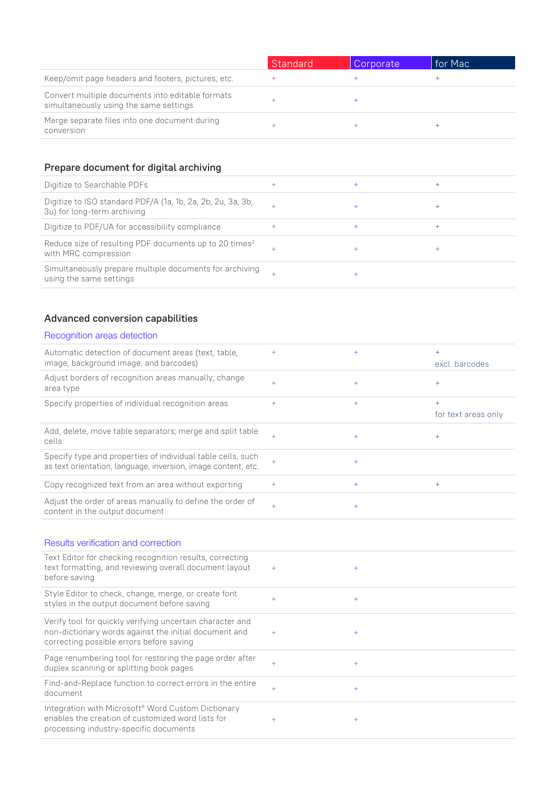|                                                                                            | Standard | Corporate | l for Mac |
|--------------------------------------------------------------------------------------------|----------|-----------|-----------|
| Keep/omit page headers and footers, pictures, etc.                                         |          |           |           |
| Convert multiple documents into editable formats<br>simultaneously using the same settings |          |           |           |
| Merge separate files into one document during<br>conversion                                |          |           |           |

# Prepare document for digital archiving

| Digitize to Searchable PDFs                                                                |  |  |
|--------------------------------------------------------------------------------------------|--|--|
| Digitize to ISO standard PDF/A (1a, 1b, 2a, 2b, 2u, 3a, 3b,<br>3u) for long-term archiving |  |  |
| Digitize to PDF/UA for accessibility compliance                                            |  |  |
| Reduce size of resulting PDF documents up to 20 times <sup>2</sup><br>with MRC compression |  |  |
| Simultaneously prepare multiple documents for archiving<br>using the same settings         |  |  |

## Advanced conversion capabilities

#### Recognition areas detection Automatic detection of document areas (text, table, image, background image, and barcodes) + + + excl. barcodes Adjust borders of recognition areas manually; change area type  $\begin{array}{ccc} & & + & \\ & & + & \\ \end{array}$ Specify properties of individual recognition areas  $+$  +  $+$  +  $+$  +  $+$ for text areas only Add, delete, move table separators; merge and split table  $\text{cells}$  and  $\text{velocity}$ , move take separators, morge and spit take  $\text{time}$  +  $\text{time}$  +  $\text{time}$  +  $\text{time}$  +  $\text{time}$  +  $\text{time}$  +  $\text{time}$  +  $\text{time}$  +  $\text{time}$  +  $\text{time}$  +  $\text{time}$  +  $\text{time}$  +  $\text{time}$  +  $\text{time}$  +  $\text{time}$  +  $\text{time}$  Specify type and properties of individual table cells, such as text orientation, language, inversion, image content, etc.  $+$ Copy recognized text from an area without exporting  $+$  +  $+$  +  $+$ Adjust the order of areas manually to define the order of Adjust the order of areas manualty to define the order of  $+$ Results verification and correction Text Editor for checking recognition results, correcting text formatting, and reviewing overall document layout before saving  $+$  +  $+$ Style Editor to check, change, merge, or create font styles in the output document before saving <sup>+</sup> <sup>+</sup> Verify tool for quickly verifying uncertain character and non-dictionary words against the initial document and correcting possible errors before saving  $+$  +  $+$ Page renumbering tool for restoring the page order after rage rendminening coornomies coming the page order arter  $+$  + duplex scanning or splitting book pages Find-and-Replace function to correct errors in the entire  $\frac{1}{4}$  +  $\frac{1}{4}$  +  $\frac{1}{4}$  +  $\frac{1}{4}$  +  $\frac{1}{4}$  +  $\frac{1}{4}$  +  $\frac{1}{4}$  +  $\frac{1}{4}$  +  $\frac{1}{4}$  +  $\frac{1}{4}$  +  $\frac{1}{4}$  +  $\frac{1}{4}$  +  $\frac{1}{4}$  +  $\frac{1}{4}$  +  $\frac{1}{4}$  +  $\frac{1}{4}$  +  $\frac{1}{4}$  +  $\frac{1}{4}$  +  $\frac{1$

Integration with Microsoft® Word Custom Dictionary enables the creation of customized word lists for processing industry-specific documents  $+$  +  $+$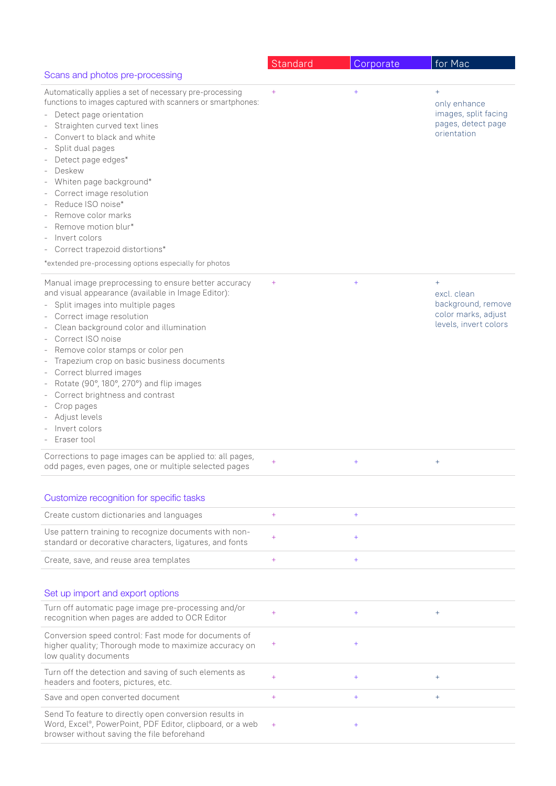|                                                                                                                                                                                                                                                                                                                                                                                                                                                                                                                                                              | Standard                   | Corporate            | for Mac                                                                                     |
|--------------------------------------------------------------------------------------------------------------------------------------------------------------------------------------------------------------------------------------------------------------------------------------------------------------------------------------------------------------------------------------------------------------------------------------------------------------------------------------------------------------------------------------------------------------|----------------------------|----------------------|---------------------------------------------------------------------------------------------|
| Scans and photos pre-processing                                                                                                                                                                                                                                                                                                                                                                                                                                                                                                                              |                            |                      |                                                                                             |
| Automatically applies a set of necessary pre-processing<br>functions to images captured with scanners or smartphones:<br>Detect page orientation<br>$\overline{\phantom{a}}$<br>Straighten curved text lines<br>Convert to black and white<br>Split dual pages<br>Detect page edges*<br>Deskew<br>Whiten page background*<br>Correct image resolution<br>Reduce ISO noise*<br>Remove color marks<br>Remove motion blur*<br>Invert colors<br>Correct trapezoid distortions*<br>*extended pre-processing options especially for photos                         | $^{+}$                     | $^{+}$               | $+$<br>only enhance<br>images, split facing<br>pages, detect page<br>orientation            |
| Manual image preprocessing to ensure better accuracy<br>and visual appearance (available in Image Editor):<br>Split images into multiple pages<br>Correct image resolution<br>Clean background color and illumination<br>Correct ISO noise<br>Remove color stamps or color pen<br>$\overline{\phantom{a}}$<br>Trapezium crop on basic business documents<br>Correct blurred images<br>Rotate (90°, 180°, 270°) and flip images<br>$\overline{\phantom{0}}$<br>Correct brightness and contrast<br>Crop pages<br>Adjust levels<br>Invert colors<br>Eraser tool | $^{+}$                     | $^{+}$               | $^{+}$<br>excl. clean<br>background, remove<br>color marks, adjust<br>levels, invert colors |
| Corrections to page images can be applied to: all pages,<br>odd pages, even pages, one or multiple selected pages                                                                                                                                                                                                                                                                                                                                                                                                                                            | $+$                        | $^{+}$               | $\ddot{}$                                                                                   |
| Customize recognition for specific tasks<br>Create custom dictionaries and languages<br>Use pattern training to recognize documents with non-<br>standard or decorative characters, ligatures, and fonts<br>Create, save, and reuse area templates                                                                                                                                                                                                                                                                                                           | $^{+}$<br>$^{+}$<br>$^{+}$ | $^{+}$<br>$+$<br>$+$ |                                                                                             |
| Set up import and export options                                                                                                                                                                                                                                                                                                                                                                                                                                                                                                                             |                            |                      |                                                                                             |
| Turn off automatic page image pre-processing and/or<br>recognition when pages are added to OCR Editor                                                                                                                                                                                                                                                                                                                                                                                                                                                        | $^{+}$                     | $^{+}$               | $+$                                                                                         |
| Conversion speed control: Fast mode for documents of<br>higher quality; Thorough mode to maximize accuracy on<br>low quality documents                                                                                                                                                                                                                                                                                                                                                                                                                       | $^{+}$                     | $^{+}$               |                                                                                             |
| Turn off the detection and saving of such elements as<br>headers and footers, pictures, etc.                                                                                                                                                                                                                                                                                                                                                                                                                                                                 | $^{+}$                     | $^{+}$               | $^{+}$                                                                                      |
| Save and open converted document                                                                                                                                                                                                                                                                                                                                                                                                                                                                                                                             | $^{+}$                     | $+$                  | $+$                                                                                         |
| Send To feature to directly open conversion results in<br>Word, Excel®, PowerPoint, PDF Editor, clipboard, or a web<br>browser without saving the file beforehand                                                                                                                                                                                                                                                                                                                                                                                            | $^{+}$                     | $^{+}$               |                                                                                             |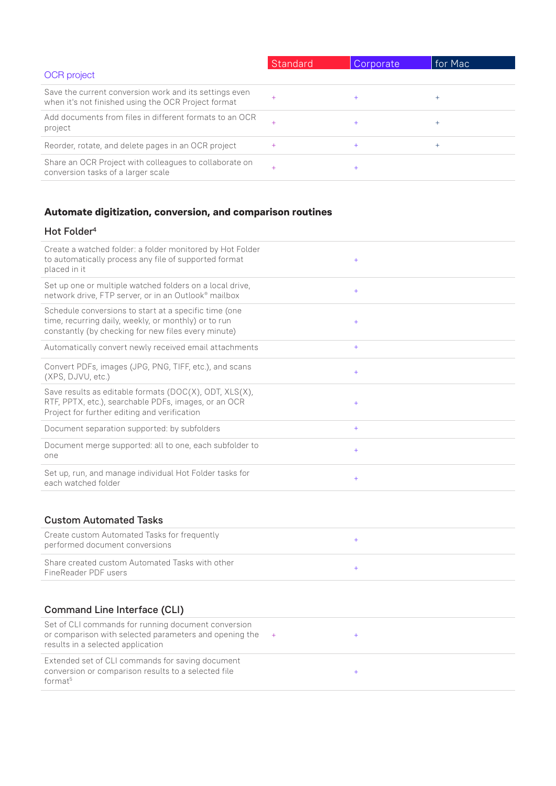|                                                                                                               | Standard | Corporate | for Mac |
|---------------------------------------------------------------------------------------------------------------|----------|-----------|---------|
| <b>OCR</b> project                                                                                            |          |           |         |
| Save the current conversion work and its settings even<br>when it's not finished using the OCR Project format | $+$      |           | $^{+}$  |
| Add documents from files in different formats to an OCR<br>project                                            | $+$      |           | $^{+}$  |
| Reorder, rotate, and delete pages in an OCR project                                                           | $^{+}$   | $\ddot{}$ | $^{+}$  |
| Share an OCR Project with colleagues to collaborate on<br>conversion tasks of a larger scale                  | $+$      |           |         |

# **Automate digitization, conversion, and comparison routines**

conversion or comparison results to a selected file

format5

### Hot Folder<sup>4</sup>

| Create a watched folder: a folder monitored by Hot Folder<br>to automatically process any file of supported format<br>placed in it                                   | $+$        |
|----------------------------------------------------------------------------------------------------------------------------------------------------------------------|------------|
| Set up one or multiple watched folders on a local drive,<br>network drive, FTP server, or in an Outlook® mailbox                                                     | $+$        |
| Schedule conversions to start at a specific time (one<br>time, recurring daily, weekly, or monthly) or to run<br>constantly (by checking for new files every minute) | $+$        |
| Automatically convert newly received email attachments                                                                                                               | $+$        |
| Convert PDFs, images (JPG, PNG, TIFF, etc.), and scans<br>(XPS, DJVU, etc.)                                                                                          | $+$        |
| Save results as editable formats (DOC(X), ODT, XLS(X),<br>RTF, PPTX, etc.), searchable PDFs, images, or an OCR<br>Project for further editing and verification       | $+$        |
| Document separation supported: by subfolders                                                                                                                         | $+$        |
| Document merge supported: all to one, each subfolder to<br>one                                                                                                       | $+$        |
| Set up, run, and manage individual Hot Folder tasks for<br>each watched folder                                                                                       | $+$        |
| <b>Custom Automated Tasks</b><br>Create custom Automated Tasks for frequently                                                                                        |            |
| performed document conversions                                                                                                                                       | $+$        |
| Share created custom Automated Tasks with other<br>FineReader PDF users                                                                                              | $+$        |
| <b>Command Line Interface (CLI)</b>                                                                                                                                  |            |
| Set of CLI commands for running document conversion<br>or comparison with selected parameters and opening the<br>results in a selected application                   | $+$<br>$+$ |
| Extended set of CLI commands for saving document                                                                                                                     |            |

+